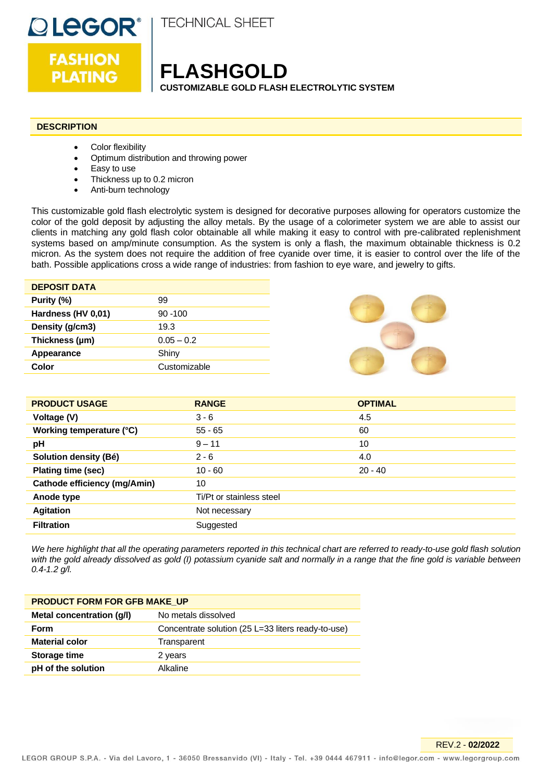

**FASHION PLATING** 

**TECHNICAL SHEET** 

# **FLASHGOLD**

**CUSTOMIZABLE GOLD FLASH ELECTROLYTIC SYSTEM**

# **DESCRIPTION**

- Color flexibility
- Optimum distribution and throwing power
- Easy to use
- Thickness up to 0.2 micron
- Anti-burn technology

This customizable gold flash electrolytic system is designed for decorative purposes allowing for operators customize the color of the gold deposit by adjusting the alloy metals. By the usage of a colorimeter system we are able to assist our clients in matching any gold flash color obtainable all while making it easy to control with pre-calibrated replenishment systems based on amp/minute consumption. As the system is only a flash, the maximum obtainable thickness is 0.2 micron. As the system does not require the addition of free cyanide over time, it is easier to control over the life of the bath. Possible applications cross a wide range of industries: from fashion to eye ware, and jewelry to gifts.

| <b>DEPOSIT DATA</b> |              |
|---------------------|--------------|
| Purity (%)          | 99           |
| Hardness (HV 0,01)  | $90 - 100$   |
| Density (g/cm3)     | 19.3         |
| Thickness (µm)      | $0.05 - 0.2$ |
| Appearance          | Shiny        |
| Color               | Customizable |



| <b>PRODUCT USAGE</b>                | <b>RANGE</b>             | <b>OPTIMAL</b> |
|-------------------------------------|--------------------------|----------------|
| Voltage (V)                         | $3 - 6$                  | 4.5            |
| Working temperature (°C)            | $55 - 65$                | 60             |
| pH                                  | $9 - 11$                 | 10             |
| Solution density (Bé)               | $2 - 6$                  | 4.0            |
| Plating time (sec)                  | $10 - 60$                | $20 - 40$      |
| <b>Cathode efficiency (mg/Amin)</b> | 10                       |                |
| Anode type                          | Ti/Pt or stainless steel |                |
| <b>Agitation</b>                    | Not necessary            |                |
| <b>Filtration</b>                   | Suggested                |                |

*We here highlight that all the operating parameters reported in this technical chart are referred to ready-to-use gold flash solution with the gold already dissolved as gold (I) potassium cyanide salt and normally in a range that the fine gold is variable between 0.4-1.2 g/l.*

| <b>PRODUCT FORM FOR GFB MAKE UP</b> |                                                    |  |
|-------------------------------------|----------------------------------------------------|--|
| Metal concentration (g/l)           | No metals dissolved                                |  |
| Form                                | Concentrate solution (25 L=33 liters ready-to-use) |  |
| <b>Material color</b>               | Transparent                                        |  |
| Storage time                        | 2 years                                            |  |
| pH of the solution                  | Alkaline                                           |  |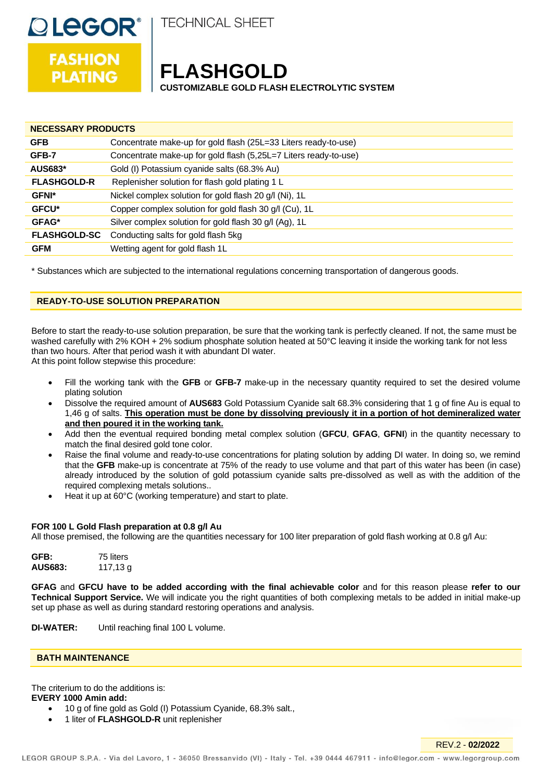

**TECHNICAL SHEET** 

# **FASHION PLATING**

# **FLASHGOLD**

**CUSTOMIZABLE GOLD FLASH ELECTROLYTIC SYSTEM**

| <b>NECESSARY PRODUCTS</b> |                                                                  |  |
|---------------------------|------------------------------------------------------------------|--|
| <b>GFB</b>                | Concentrate make-up for gold flash (25L=33 Liters ready-to-use)  |  |
| GFB-7                     | Concentrate make-up for gold flash (5,25L=7 Liters ready-to-use) |  |
| <b>AUS683*</b>            | Gold (I) Potassium cyanide salts (68.3% Au)                      |  |
| <b>FLASHGOLD-R</b>        | Replenisher solution for flash gold plating 1 L                  |  |
| <b>GFNI*</b>              | Nickel complex solution for gold flash 20 g/l (Ni), 1L           |  |
| <b>GFCU*</b>              | Copper complex solution for gold flash 30 g/l (Cu), 1L           |  |
| GFAG*                     | Silver complex solution for gold flash 30 g/l (Ag), 1L           |  |
| <b>FLASHGOLD-SC</b>       | Conducting salts for gold flash 5kg                              |  |
| <b>GFM</b>                | Wetting agent for gold flash 1L                                  |  |

\* Substances which are subjected to the international regulations concerning transportation of dangerous goods.

# **READY-TO-USE SOLUTION PREPARATION**

Before to start the ready-to-use solution preparation, be sure that the working tank is perfectly cleaned. If not, the same must be washed carefully with 2% KOH + 2% sodium phosphate solution heated at 50°C leaving it inside the working tank for not less than two hours. After that period wash it with abundant DI water.

At this point follow stepwise this procedure:

- Fill the working tank with the **GFB** or **GFB-7** make-up in the necessary quantity required to set the desired volume plating solution
- Dissolve the required amount of **AUS683** Gold Potassium Cyanide salt 68.3% considering that 1 g of fine Au is equal to 1,46 g of salts. **This operation must be done by dissolving previously it in a portion of hot demineralized water and then poured it in the working tank.**
- Add then the eventual required bonding metal complex solution (**GFCU**, **GFAG**, **GFNI**) in the quantity necessary to match the final desired gold tone color.
- Raise the final volume and ready-to-use concentrations for plating solution by adding DI water. In doing so, we remind that the **GFB** make-up is concentrate at 75% of the ready to use volume and that part of this water has been (in case) already introduced by the solution of gold potassium cyanide salts pre-dissolved as well as with the addition of the required complexing metals solutions..
- Heat it up at 60°C (working temperature) and start to plate.

# **FOR 100 L Gold Flash preparation at 0.8 g/l Au**

All those premised, the following are the quantities necessary for 100 liter preparation of gold flash working at 0.8 g/l Au:

**GFB:** 75 liters **AUS683:** 117,13 g

**GFAG** and **GFCU have to be added according with the final achievable color** and for this reason please **refer to our Technical Support Service.** We will indicate you the right quantities of both complexing metals to be added in initial make-up set up phase as well as during standard restoring operations and analysis.

**DI-WATER:** Until reaching final 100 L volume.

### **BATH MAINTENANCE**

The criterium to do the additions is:

### **EVERY 1000 Amin add:**

- 10 g of fine gold as Gold (I) Potassium Cyanide, 68.3% salt.,
- 1 liter of **FLASHGOLD-R** unit replenisher

REV.2 - **02/2022**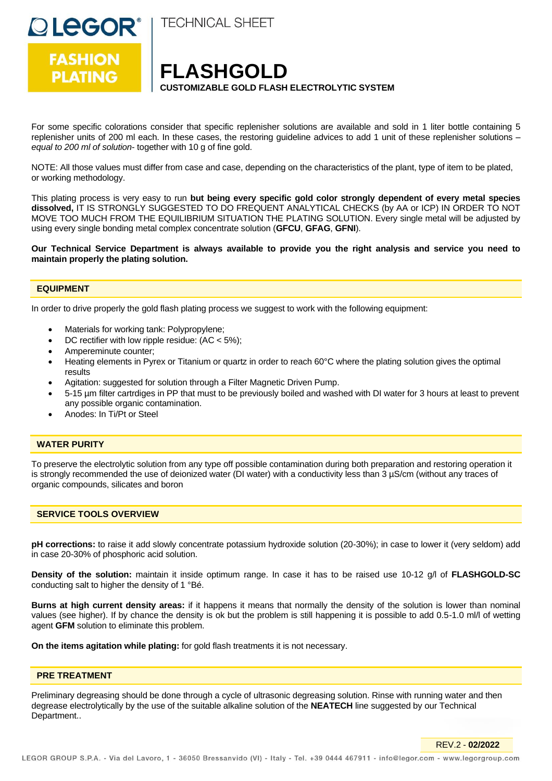



**FLASHGOLD CUSTOMIZABLE GOLD FLASH ELECTROLYTIC SYSTEM**

For some specific colorations consider that specific replenisher solutions are available and sold in 1 liter bottle containing 5 replenisher units of 200 ml each. In these cases, the restoring guideline advices to add 1 unit of these replenisher solutions – *equal to 200 ml of solution*- together with 10 g of fine gold.

NOTE: All those values must differ from case and case, depending on the characteristics of the plant, type of item to be plated, or working methodology.

This plating process is very easy to run **but being every specific gold color strongly dependent of every metal species dissolved,** IT IS STRONGLY SUGGESTED TO DO FREQUENT ANALYTICAL CHECKS (by AA or ICP) IN ORDER TO NOT MOVE TOO MUCH FROM THE EQUILIBRIUM SITUATION THE PLATING SOLUTION. Every single metal will be adjusted by using every single bonding metal complex concentrate solution (**GFCU**, **GFAG**, **GFNI**).

**Our Technical Service Department is always available to provide you the right analysis and service you need to maintain properly the plating solution.**

#### **EQUIPMENT**

In order to drive properly the gold flash plating process we suggest to work with the following equipment:

- Materials for working tank: Polypropylene;
- DC rectifier with low ripple residue:  $(AC < 5\%)$ ;
- Ampereminute counter;
- Heating elements in Pyrex or Titanium or quartz in order to reach 60°C where the plating solution gives the optimal results
- Agitation: suggested for solution through a Filter Magnetic Driven Pump.
- 5-15 µm filter cartrdiges in PP that must to be previously boiled and washed with DI water for 3 hours at least to prevent any possible organic contamination.
- Anodes: In Ti/Pt or Steel

### **WATER PURITY**

To preserve the electrolytic solution from any type off possible contamination during both preparation and restoring operation it is strongly recommended the use of deionized water (DI water) with a conductivity less than 3 µS/cm (without any traces of organic compounds, silicates and boron

# **SERVICE TOOLS OVERVIEW**

**pH corrections:** to raise it add slowly concentrate potassium hydroxide solution (20-30%); in case to lower it (very seldom) add in case 20-30% of phosphoric acid solution.

**Density of the solution:** maintain it inside optimum range. In case it has to be raised use 10-12 g/l of **FLASHGOLD-SC** conducting salt to higher the density of 1 °Bé.

**Burns at high current density areas:** if it happens it means that normally the density of the solution is lower than nominal values (see higher). If by chance the density is ok but the problem is still happening it is possible to add 0.5-1.0 ml/l of wetting agent **GFM** solution to eliminate this problem.

**On the items agitation while plating:** for gold flash treatments it is not necessary.

#### **PRE TREATMENT**

Preliminary degreasing should be done through a cycle of ultrasonic degreasing solution. Rinse with running water and then degrease electrolytically by the use of the suitable alkaline solution of the **NEATECH** line suggested by our Technical Department..